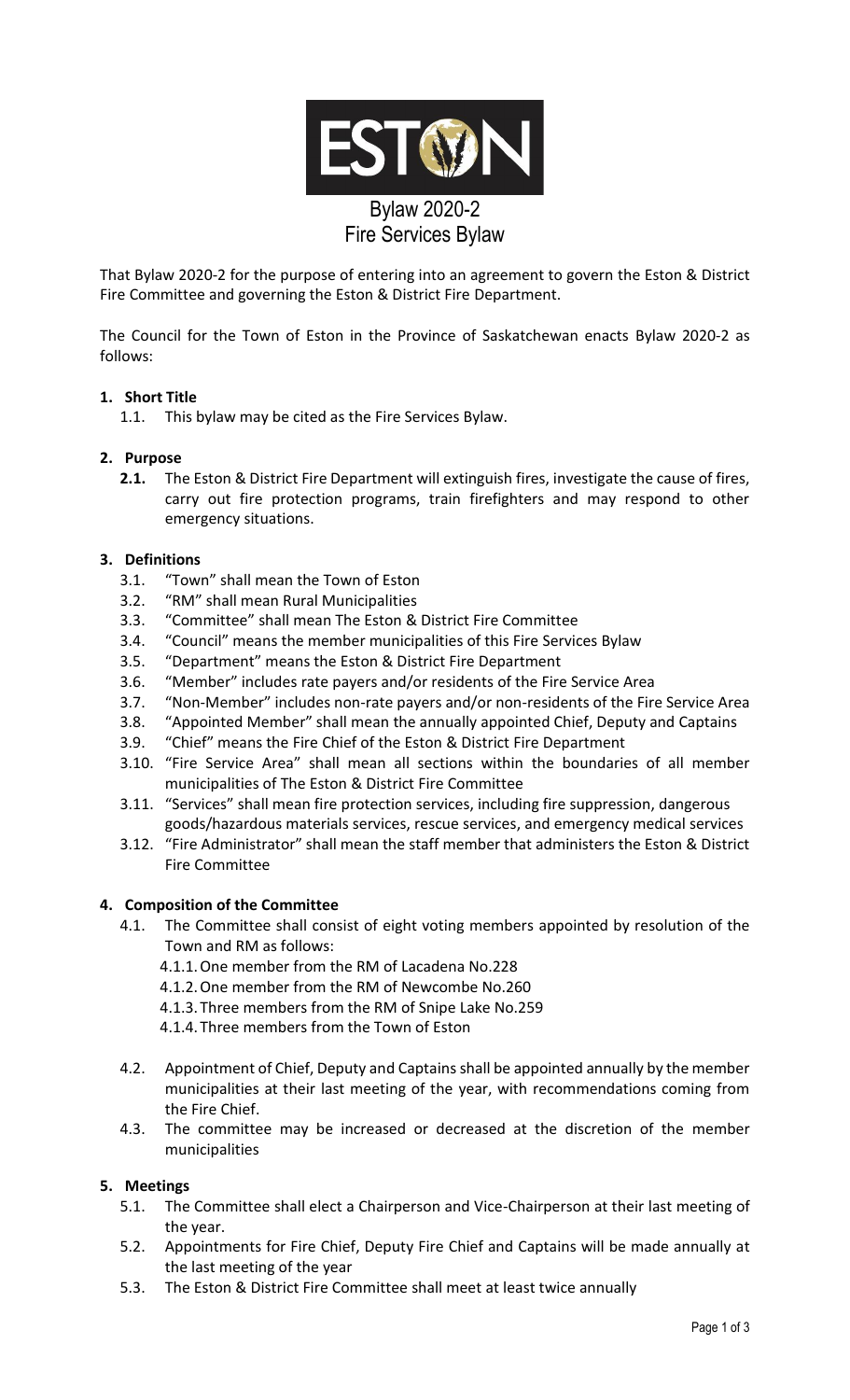

# That Bylaw 2020-2 for the purpose of entering into an agreement to govern the Eston & District Fire Committee and governing the Eston & District Fire Department.

The Council for the Town of Eston in the Province of Saskatchewan enacts Bylaw 2020-2 as follows:

# **1. Short Title**

1.1. This bylaw may be cited as the Fire Services Bylaw.

#### **2. Purpose**

**2.1.** The Eston & District Fire Department will extinguish fires, investigate the cause of fires, carry out fire protection programs, train firefighters and may respond to other emergency situations.

### **3. Definitions**

- 3.1. "Town" shall mean the Town of Eston
- 3.2. "RM" shall mean Rural Municipalities
- 3.3. "Committee" shall mean The Eston & District Fire Committee
- 3.4. "Council" means the member municipalities of this Fire Services Bylaw
- 3.5. "Department" means the Eston & District Fire Department
- 3.6. "Member" includes rate payers and/or residents of the Fire Service Area
- 3.7. "Non-Member" includes non-rate payers and/or non-residents of the Fire Service Area
- 3.8. "Appointed Member" shall mean the annually appointed Chief, Deputy and Captains
- 3.9. "Chief" means the Fire Chief of the Eston & District Fire Department
- 3.10. "Fire Service Area" shall mean all sections within the boundaries of all member municipalities of The Eston & District Fire Committee
- 3.11. "Services" shall mean fire protection services, including fire suppression, dangerous goods/hazardous materials services, rescue services, and emergency medical services
- 3.12. "Fire Administrator" shall mean the staff member that administers the Eston & District Fire Committee

#### **4. Composition of the Committee**

- 4.1. The Committee shall consist of eight voting members appointed by resolution of the Town and RM as follows:
	- 4.1.1.One member from the RM of Lacadena No.228
	- 4.1.2.One member from the RM of Newcombe No.260
	- 4.1.3.Three members from the RM of Snipe Lake No.259
	- 4.1.4.Three members from the Town of Eston
- 4.2. Appointment of Chief, Deputy and Captains shall be appointed annually by the member municipalities at their last meeting of the year, with recommendations coming from the Fire Chief.
- 4.3. The committee may be increased or decreased at the discretion of the member municipalities

#### **5. Meetings**

- 5.1. The Committee shall elect a Chairperson and Vice-Chairperson at their last meeting of the year.
- 5.2. Appointments for Fire Chief, Deputy Fire Chief and Captains will be made annually at the last meeting of the year
- 5.3. The Eston & District Fire Committee shall meet at least twice annually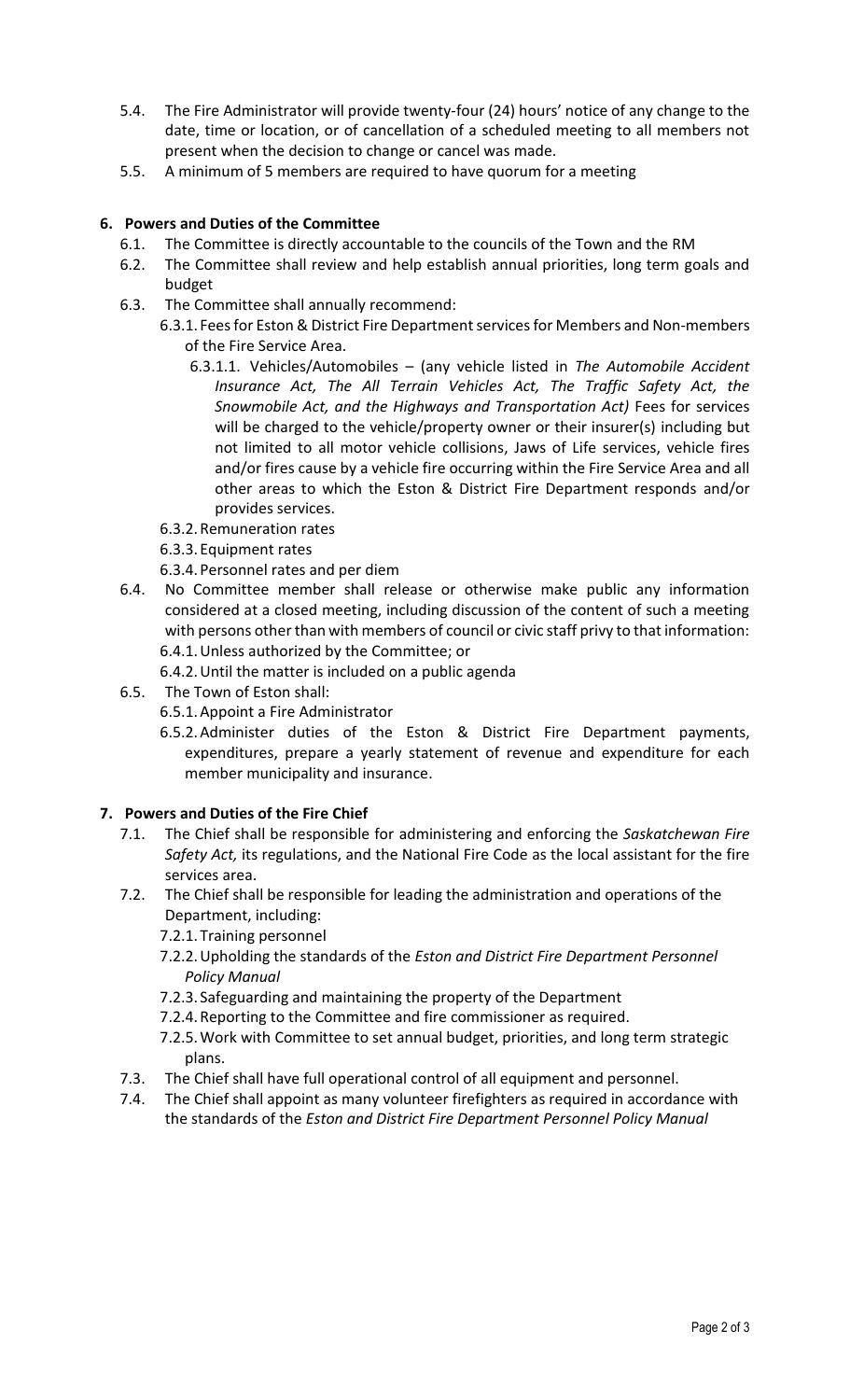- 5.4. The Fire Administrator will provide twenty-four (24) hours' notice of any change to the date, time or location, or of cancellation of a scheduled meeting to all members not present when the decision to change or cancel was made.
- 5.5. A minimum of 5 members are required to have quorum for a meeting

# **6. Powers and Duties of the Committee**

- 6.1. The Committee is directly accountable to the councils of the Town and the RM
- 6.2. The Committee shall review and help establish annual priorities, long term goals and budget
- 6.3. The Committee shall annually recommend:
	- 6.3.1. Feesfor Eston & District Fire Department servicesfor Members and Non-members of the Fire Service Area.
		- 6.3.1.1. Vehicles/Automobiles (any vehicle listed in *The Automobile Accident Insurance Act, The All Terrain Vehicles Act, The Traffic Safety Act, the Snowmobile Act, and the Highways and Transportation Act)* Fees for services will be charged to the vehicle/property owner or their insurer(s) including but not limited to all motor vehicle collisions, Jaws of Life services, vehicle fires and/or fires cause by a vehicle fire occurring within the Fire Service Area and all other areas to which the Eston & District Fire Department responds and/or provides services.
	- 6.3.2.Remuneration rates
	- 6.3.3.Equipment rates
	- 6.3.4.Personnel rates and per diem
- 6.4. No Committee member shall release or otherwise make public any information considered at a closed meeting, including discussion of the content of such a meeting with persons other than with members of council or civic staff privy to that information: 6.4.1.Unless authorized by the Committee; or
	- 6.4.2.Until the matter is included on a public agenda
- 6.5. The Town of Eston shall:
	- 6.5.1.Appoint a Fire Administrator
	- 6.5.2.Administer duties of the Eston & District Fire Department payments, expenditures, prepare a yearly statement of revenue and expenditure for each member municipality and insurance.

#### **7. Powers and Duties of the Fire Chief**

- 7.1. The Chief shall be responsible for administering and enforcing the *Saskatchewan Fire Safety Act,* its regulations, and the National Fire Code as the local assistant for the fire services area.
- 7.2. The Chief shall be responsible for leading the administration and operations of the Department, including:
	- 7.2.1.Training personnel
	- 7.2.2.Upholding the standards of the *Eston and District Fire Department Personnel Policy Manual*
	- 7.2.3. Safeguarding and maintaining the property of the Department
	- 7.2.4.Reporting to the Committee and fire commissioner as required.
	- 7.2.5.Work with Committee to set annual budget, priorities, and long term strategic plans.
- 7.3. The Chief shall have full operational control of all equipment and personnel.
- 7.4. The Chief shall appoint as many volunteer firefighters as required in accordance with the standards of the *Eston and District Fire Department Personnel Policy Manual*